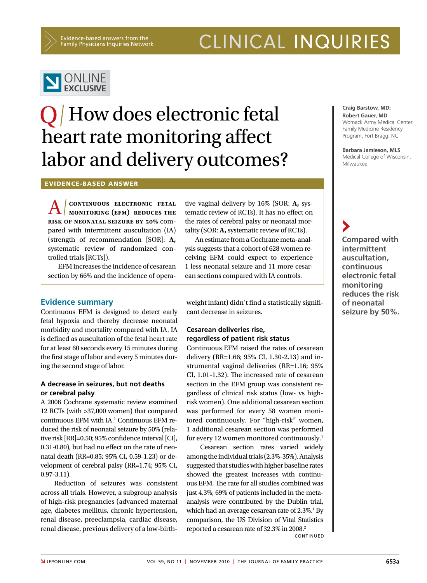Evidence-based answers from the Family Physicians Inquiries Network CLINICAL INQUIRIES



# **O** How does electronic fetal heart rate monitoring affect labor and delivery outcomes?

Evidence-based answer

A  **continuous electronic fetal MONITORING** (EFM) REDUCES THE **risk of neonatal seizure by 50%** compared with intermittent auscultation (IA) (strength of recommendation [SOR]: **A,** systematic review of randomized controlled trials [RCTs]).

EFM increases the incidence of cesarean section by 66% and the incidence of opera-

## **Evidence summary**

Continuous EFM is designed to detect early fetal hypoxia and thereby decrease neonatal morbidity and mortality compared with IA. IA is defined as auscultation of the fetal heart rate for at least 60 seconds every 15 minutes during the first stage of labor and every 5 minutes during the second stage of labor.

### **A decrease in seizures, but not deaths or cerebral palsy**

A 2006 Cochrane systematic review examined 12 RCTs (with >37,000 women) that compared continuous EFM with IA.<sup>1</sup> Continuous EFM reduced the risk of neonatal seizure by 50% (relative risk [RR]=0.50; 95% confidence interval [CI], 0.31-0.80), but had no effect on the rate of neonatal death (RR=0.85; 95% CI, 0.59-1.23) or development of cerebral palsy (RR=1.74; 95% CI, 0.97-3.11).

Reduction of seizures was consistent across all trials. However, a subgroup analysis of high-risk pregnancies (advanced maternal age, diabetes mellitus, chronic hypertension, renal disease, preeclampsia, cardiac disease, renal disease, previous delivery of a low-birthtive vaginal delivery by 16% (SOR: **A,** systematic review of RCTs). It has no effect on the rates of cerebral palsy or neonatal mortality (SOR: **A,** systematic review of RCTs).

An estimate from a Cochrane meta-analysis suggests that a cohort of 628 women receiving EFM could expect to experience 1 less neonatal seizure and 11 more cesarean sections compared with IA controls.

weight infant) didn't find a statistically significant decrease in seizures.

# **Cesarean deliveries rise, regardless of patient risk status**

Continuous EFM raised the rates of cesarean delivery (RR=1.66; 95% CI, 1.30-2.13) and instrumental vaginal deliveries (RR=1.16; 95% CI, 1.01-1.32). The increased rate of cesarean section in the EFM group was consistent regardless of clinical risk status (low- vs highrisk women). One additional cesarean section was performed for every 58 women monitored continuously. For "high-risk" women, 1 additional cesarean section was performed for every 12 women monitored continuously.<sup>1</sup>

Cesarean section rates varied widely among the individual trials (2.3%-35%). Analysis suggested that studies with higher baseline rates showed the greatest increases with continuous EFM. The rate for all studies combined was just 4.3%; 69% of patients included in the metaanalysis were contributed by the Dublin trial, which had an average cesarean rate of 2.3%.<sup>1</sup> By comparison, the US Division of Vital Statistics reported a cesarean rate of 32.3% in 2008.<sup>2</sup> **CONTINUED** 

**Craig Barstow, MD; Robert Gauer, MD** Womack Army Medical Center Family Medicine Residency Program, Fort Bragg, NC

**Barbara Jamieson, MLS** Medical College of Wisconsin, Milwaukee

**Compared with intermittent auscultation, continuous electronic fetal monitoring reduces the risk of neonatal seizure by 50%.**